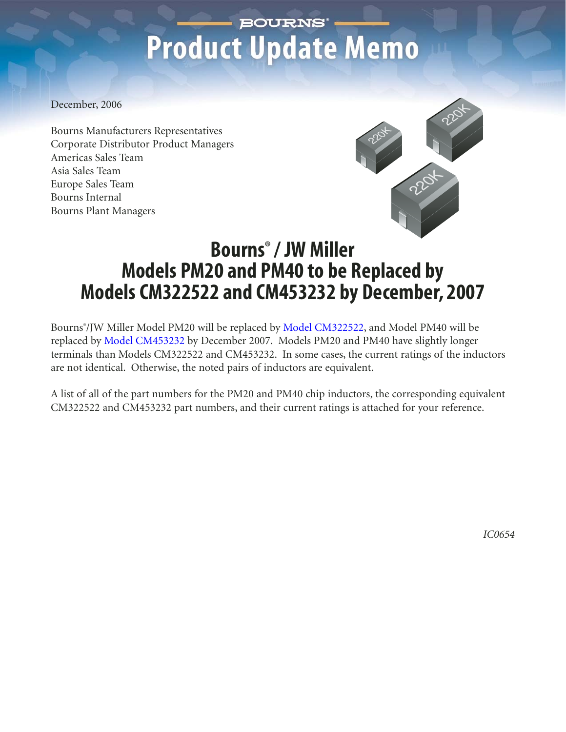## **BOURNS® Product Update Memo**

December, 2006

Bourns Manufacturers Representatives Corporate Distributor Product Managers Americas Sales Team Asia Sales Team Europe Sales Team Bourns Internal Bourns Plant Managers



## **Bourns® / JW Miller Models PM20 and PM40 to be Replaced by Models CM322522 and CM453232 by December, 2007**

Bourns® /JW Miller Model PM20 will be replaced b[y Model CM322522, a](http://www.bourns.com/pdfs/cm.pdf)nd Model PM40 will be replaced b[y Model CM453232 by](http://www.bourns.com/pdfs/cm.pdf) December 2007. Models PM20 and PM40 have slightly longer terminals than Models CM322522 and CM453232. In some cases, the current ratings of the inductors are not identical. Otherwise, the noted pairs of inductors are equivalent.

A list of all of the part numbers for the PM20 and PM40 chip inductors, the corresponding equivalent CM322522 and CM453232 part numbers, and their current ratings is attached for your reference.

*IC0654*